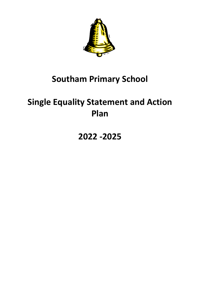

## **Southam Primary School**

# **Single Equality Statement and Action Plan**

# **2022 -2025**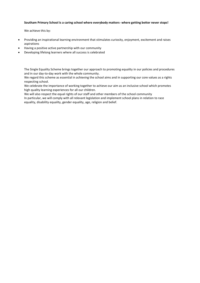#### **Southam Primary School is a caring school where everybody matters- where getting better never stops!**

We achieve this by:

- Providing an inspirational learning environment that stimulates curiosity, enjoyment, excitement and raises aspirations
- Having a positive active partnership with our community
- Developing lifelong learners where all success is celebrated

The Single Equality Scheme brings together our approach to promoting equality in our policies and procedures and in our day-to-day work with the whole community.

We regard this scheme as essential in achieving the school aims and in supporting our core values as a rights respecting school.

We celebrate the importance of working together to achieve our aim as an inclusive school which promotes high quality learning experiences for all our children.

We will also respect the equal rights of our staff and other members of the school community In particular, we will comply with all relevant legislation and implement school plans in relation to race equality, disability equality, gender equality, age, religion and belief.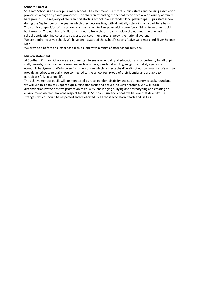#### **School's Context**

Southam School is an average Primary school. The catchment is a mix of public estates and housing association properties alongside private properties. The children attending the school come from a wide variety of family backgrounds. The majority of children first starting school, have attended local playgroups. Pupils start school during the September of the year in which they become five, with all initially attending on a part time basis. The ethnic composition of the school is almost all white European with a very few children from other racial backgrounds. The number of children entitled to free school meals is below the national average and the school deprivation indicator also suggests our catchment area is below the national average. We are a fully inclusive school. We have been awarded the School's Sports Active Gold mark and Silver Science Mark.

We provide a before and after school club along with a range of after school activities.

## **Mission statement**

At Southam Primary School we are committed to ensuring equality of education and opportunity for all pupils, staff, parents, governors and carers, regardless of race, gender, disability, religion or belief, age or socioeconomic background. We have an inclusive culture which respects the diversity of our community. We aim to provide an ethos where all those connected to the school feel proud of their identity and are able to participate fully in school life.

The achievement of pupils will be monitored by race, gender, disability and socio-economic background and we will use this data to support pupils, raise standards and ensure inclusive teaching. We will tackle discrimination by the positive promotion of equality, challenging bullying and stereotyping and creating an environment which champions respect for all. At Southam Primary School, we believe that diversity is a strength, which should be respected and celebrated by all those who learn, teach and visit us.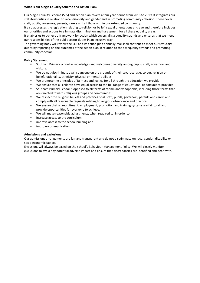## **What is our Single Equality Scheme and Action Plan?**

Our Single Equality Scheme (SES) and action plan covers a four year period from 2016 to 2019. It integrates our statutory duties in relation to race, disability and gender and in promoting community cohesion. These cover staff, pupils, governors, parents, carers and all those within our extended community.

It also addresses the legislation relating to religion or belief, sexual orientations and age and therefore includes our priorities and actions to eliminate discrimination and harassment for all these equality areas.

It enables us to achieve a framework for action which covers all six equality strands and ensures that we meet our responsibilities of the public sector duties in an inclusive way.

The governing body will review the SES and its action plan annually. We shall continue to meet our statutory duties by reporting on the outcomes of the action plan in relation to the six equality strands and promoting community cohesion.

## **Policy Statement**

- Southam Primary School acknowledges and welcomes diversity among pupils, staff, governors and visitors.
- We do not discriminate against anyone on the grounds of their sex, race, age, colour, religion or belief, nationality, ethnicity, physical or mental abilities.
- We promote the principles of fairness and justice for all through the education we provide.
- We ensure that all children have equal access to the full range of educational opportunities provided.
- Southam Primary School is opposed to all forms of racism and xenophobia, including those forms that are directed towards religious groups and communities.
- We respect the religious beliefs and practices of all staff, pupils, governors, parents and carers and comply with all reasonable requests relating to religious observance and practice.
- We ensure that all recruitment, employment, promotion and training systems are fair to all and provide opportunities for everyone to achieve.
- We will make reasonable adjustments, when required to, in order to:
- increase access to the curriculum
- improve access to the school building and
- **■** improve communication.

## **Admissions and exclusions**

Our admissions arrangements are fair and transparent and do not discriminate on race, gender, disability or socio-economic factors.

Exclusions will always be based on the school's Behaviour Management Policy. We will closely monitor exclusions to avoid any potential adverse impact and ensure that discrepancies are identified and dealt with.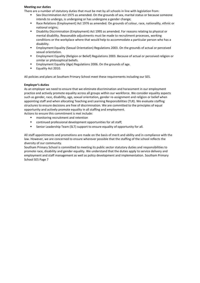#### **Meeting our duties**

There are a number of statutory duties that must be met by all schools in line with legislation from:

- Sex Discrimination Act 1975 as amended. On the grounds of sex, marital status or because someone intends to undergo, is undergoing or has undergone a gender change;
- Race Relations (Employment) Act 1976 as amended. On grounds of colour, race, nationality, ethnic or national origins;
- Disability Discrimination (Employment) Act 1995 as amended. For reasons relating to physical or mental disability. Reasonable adjustments must be made to recruitment processes, working conditions or the workplace where that would help to accommodate a particular person who has a disability.
- **Employment Equality (Sexual Orientation) Regulations 2003. On the grounds of actual or perceived** sexual orientation.
- **Employment Equality (Religion or Belief) Regulations 2003. Because of actual or perceived religion or** similar or philosophical beliefs.
- Employment Equality (Age) Regulations 2006. On the grounds of age.
- Equality Act 2010.

All policies and plans at Southam Primary School meet these requirements including our SES.

## **Employer's duties**

As an employer we need to ensure that we eliminate discrimination and harassment in our employment practice and actively promote equality across all groups within our workforce. We consider equality aspects such as gender, race, disability, age, sexual orientation, gender re-assignment and religion or belief when appointing staff and when allocating Teaching and Learning Responsibilities (TLR). We evaluate staffing structures to ensure decisions are free of discrimination. We are committed to the principles of equal opportunity and actively promote equality in all staffing and employment. Actions to ensure this commitment is met include:

■ monitoring recruitment and retention

- continued professional development opportunities for all staff;
- Senior Leadership Team (SLT) support to ensure equality of opportunity for all.

All staff appointments and promotions are made on the basis of merit and ability and in compliance with the law. However, we are concerned to ensure wherever possible that the staffing of the school reflects the diversity of our community.

Southam Primary School is committed to meeting its public sector statutory duties and responsibilities to promote race, disability and gender equality. We understand that the duties apply to service delivery and employment and staff management as well as policy development and implementation. Southam Primary School SES Page 7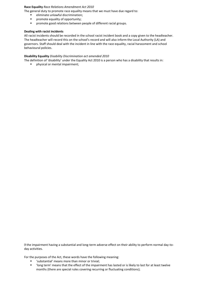## **Race Equality** *Race Relations Amendment Act 2010*

- The general duty to promote race equality means that we must have due regard to:
	- eliminate unlawful discrimination;
	- **■** promote equality of opportunity;
	- promote good relations between people of different racial groups.

## **Dealing with racist incidents**

All racist incidents should be recorded in the school racist incident book and a copy given to the headteacher. The headteacher will record this on the school's record and will also inform the Local Authority (LA) and governors. Staff should deal with the incident in line with the race equality, racial harassment and school behavioural policies.

#### **Disability Equality** *Disability Discrimination act amended 2010*

The definition of 'disability' under the Equality Act 2010 is a person who has a disability that results in:

▪ physical or mental impairment;

the impairment having a substantial and long-term adverse effect on their ability to perform normal day-today activities.

For the purposes of the Act, these words have the following meaning:

- 'substantial' means more than minor or trivial;
- 'long term' means that the effect of the impairment has lasted or is likely to last for at least twelve months (there are special rules covering recurring or fluctuating conditions);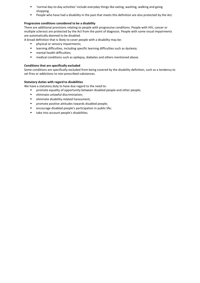- 'normal day-to-day activities' include everyday things like eating, washing, walking and going shopping.
- People who have had a disability in the past that meets this definition are also protected by the Act.

## **Progressive conditions considered to be a disability**

There are additional provisions relating to people with progressive conditions. People with HIV, cancer or multiple sclerosis are protected by the Act from the point of diagnosis. People with some visual impairments are automatically deemed to be disabled.

A broad definition that is likely to cover people with a disability may be:

- **·** physical or sensory impairments;
- learning difficulties, including specific learning difficulties such as dyslexia;
- mental health difficulties;
- medical conditions such as epilepsy, diabetes and others mentioned above.

## **Conditions that are specifically excluded**

Some conditions are specifically excluded from being covered by the disability definition, such as a tendency to set fires or addictions to non-prescribed substances.

## **Statutory duties with regard to disabilities**

We have a statutory duty to have due regard to the need to:

- **■** promote equality of opportunity between disabled people and other people;
- **■** eliminate unlawful discrimination;
- eliminate disability-related harassment;
- promote positive attitudes towards disabled people;
- encourage disabled people's participation in public life;
- take into account people's disabilities.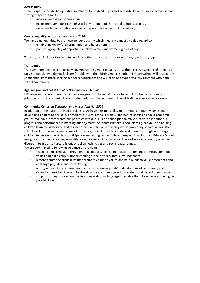#### **Accessibility**

There is specific disability legislation in relation to disabled pupils and accessibility which means we must plan strategically over time to:

- increase access to the curriculum
- make improvements to the physical environment of the school to increase access
- make written information accessible to pupils in a range of different ways.

## **Gender equality** *Sex discrimination Act 2010*

- We have a general duty to promote gender equality which means we must give due regard to
	- eliminating unlawful discrimination and harassment
	- promoting equality of opportunity between men and women, girls and boy

The duty also includes the need to consider actions to address the causes of any gender pay gap.

## **Transgender**

Transgendered people are explicitly covered by the gender equality duty. The term transgendered refers to a range of people who do not feel comfortable with their birth gender. Southam Primary School will respect the confidentiality of those seeking gender reassignment and will provide a supportive environment within the school community.

## **Age, religion and belief** *Equality Discrimination Act 2010*

HPS ensures that we do not discriminate on grounds of age, religion or belief. This scheme includes our priorities and actions to eliminate discrimination and harassment in line with all the above equality areas.

## **Community Cohesion** *Education and Inspections Act 2006*

In addition to the duties outlined previously, we have a responsibility to promote community cohesion, developing good relations across different cultures, ethnic, religious and non-religious and socio-economic groups. We have incorporated our priorities into our SES and action plan to make it easier to monitor our progress and performance in meeting our objectives. Southam Primary School places great value on helping children learn to understand and respect others and to value diversity whilst promoting shared values. The school works to promote awareness of human rights and to apply and defend them. It strongly encourages children to develop the skills of participation and acting respectfully and responsibly. Southam Primary School recognises that we have a responsibility for educating children who will live and work in a country which is diverse in terms of culture, religions or beliefs, ethnicities and social backgrounds.

We are committed to following guidance by providing

- teaching and curriculum provision that supports high standards of attainment, promotes common values and builds pupils' understanding of the diversity that surrounds them
- **EXECTS ACTS 2018 THE CONTEX 1** lessons across the curriculum that promote common values and help pupils to value differences and challenge prejudice and stereotyping
- a programme of curriculum based activities whereby pupils' understanding of community and diversity is enriched through fieldwork, visits and meetings with members of different communities
- support for pupils for whom English is an additional language to enable them to achieve at the highest possible level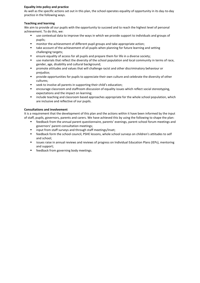## **Equality into policy and practice**

As well as the specific actions set out in this plan, the school operates equality of opportunity in its day-to-day practice in the following ways.

## **Teaching and learning**

We aim to provide all our pupils with the opportunity to succeed and to reach the highest level of personal achievement. To do this, we:

- use contextual data to improve the ways in which we provide support to individuals and groups of pupils;
- monitor the achievement of different pupil groups and take appropriate action;
- take account of the achievement of all pupils when planning for future learning and setting challenging targets;
- **E** ensure equality of access for all pupils and prepare them for life in a diverse society;
- use materials that reflect the diversity of the school population and local community in terms of race, gender, age, disability and cultural background;
- promote attitudes and values that will challenge racist and other discriminatory behaviour or prejudice;
- **•** provide opportunities for pupils to appreciate their own culture and celebrate the diversity of other cultures;
- seek to involve all parents in supporting their child's education;
- encourage classroom and staffroom discussion of equality issues which reflect social stereotyping, expectations and the impact on learning;
- include teaching and classroom based approaches appropriate for the whole school population, which are inclusive and reflective of our pupils.

## **Consultations and involvement**

It is a requirement that the development of this plan and the actions within it have been informed by the input of staff, pupils, governors, parents and carers. We have achieved this by using the following to shape the plan:

- feedback from the annual parent questionnaire, parents' evenings, parent-school forum meetings and governors' parent-consultation meetings;
- input from staff surveys and through staff meetings/Inset;
- feedback form the school council, PSHE lessons, whole school surveys on children's attitudes to self and school;
- issues raise in annual reviews and reviews of progress on Individual Education Plans (IEPs), mentoring and support;
- feedback from governing body meetings.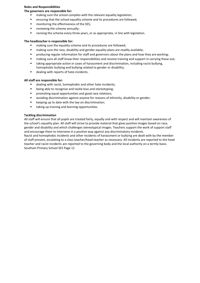## **Roles and Responsibilities**

## **The governors are responsible for:**

- making sure the school complies with the relevant equality legislation;
- ensuring that the school equality scheme and its procedures are followed;
- monitoring the effectiveness of the SES;
- **■** reviewing the scheme annually;
- revising the scheme every three years, or as appropriate, in line with legislation.

#### **The headteacher is responsible for:**

- making sure the equality scheme and its procedures are followed;
- making sure the race, disability and gender equality plans are readily available;
- producing regular information for staff and governors about the plans and how they are working;
- making sure all staff know their responsibilities and receive training and support in carrying these out;
- taking appropriate action in cases of harassment and discrimination, including racist bullying, homophobic bullying and bullying related to gender or disability;
- dealing with reports of hate-incidents.

#### **All staff are responsible for:**

- dealing with racist, homophobic and other hate-incidents;
- being able to recognise and tackle bias and stereotyping;
- promoting equal opportunities and good race relations;
- avoiding discrimination against anyone for reasons of ethnicity, disability or gender;
- keeping up to date with the law on discrimination;
- taking up training and learning opportunities.

#### **Tackling discrimination**

All staff will ensure that all pupils are treated fairly, equally and with respect and will maintain awareness of the school's equality plan. All staff will strive to provide material that gives positive images based on race, gender and disability and which challenges stereotypical images. Teachers support the work of support staff and encourage them to intervene in a positive way against any discriminatory incidents.

Racist and homophobic incidents and other incidents of harassment or bullying are dealt with by the member of staff present, escalating to a class teacher/head teacher as necessary. All incidents are reported to the head teacher and racist incidents are reported to the governing body and the local authority on a termly basis. Southam Primary School SES Page 11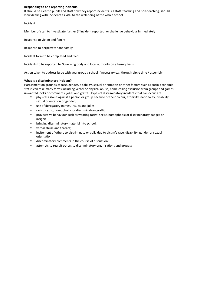#### **Responding to and reporting incidents**

It should be clear to pupils and staff how they report incidents. All staff, teaching and non-teaching, should view dealing with incidents as vital to the well-being of the whole school.

Incident

Member of staff to investigate further (if incident reported) or challenge behaviour immediately

Response to victim and family

Response to perpetrator and family

Incident form to be completed and filed.

Incidents to be reported to Governing body and local authority on a termly basis.

Action taken to address issue with year group / school if necessary e.g. through circle time / assembly

#### **What is a discriminatory incident?**

Harassment on grounds of race, gender, disability, sexual orientation or other factors such as socio-economic status can take many forms including verbal or physical abuse, name calling exclusion from groups and games, unwanted looks or comments, jokes and graffiti. Types of discriminatory incidents that can occur are:

- physical assault against a person or group because of their colour, ethnicity, nationality, disability, sexual orientation or gender;
- use of derogatory names, insults and jokes;
- racist, sexist, homophobic or discriminatory graffiti;
- **•** provocative behaviour such as wearing racist, sexist, homophobic or discriminatory badges or insignia;
- bringing discriminatory material into school;
- verbal abuse and threats:
- **■** incitement of others to discriminate or bully due to victim's race, disability, gender or sexual orientation;
- discriminatory comments in the course of discussion;
- attempts to recruit others to discriminatory organisations and groups;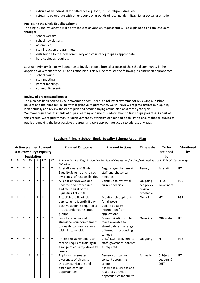- ridicule of an individual for difference e.g. food, music, religion, dress etc;
- **■** refusal to co-operate with other people on grounds of race, gender, disability or sexual orientation.

## **Publicising the Single Equality Scheme**

The Single Equality Scheme will be available to anyone on request and will be explained to all stakeholders through:

- school website:
- **·** school newsletters;
- assemblies;
- staff induction programmes;
- distribution to the local community and voluntary groups as appropriate;
- hard copies as required.

Southam Primary School will continue to involve people from all aspects of the school community in the ongoing evolvement of the SES and action plan. This will be through the following, as and when appropriate:

- **■** school council;
- **■** staff meetings;
- **·** parent meetings;
- **■** community events.

## **Review of progress and impact**

The plan has been agreed by our governing body. There is a rolling programme for reviewing our school policies and their impact. In line with legislative requirements, we will review progress against our Equality Plan annually and review the entire plan and accompanying action plan on a three year cycle. We make regular assessments of pupils' learning and use this information to track pupil progress. As part of this process, we regularly monitor achievement by ethnicity, gender and disability, to ensure that all groups of pupils are making the best possible progress, and take appropriate action to address any gaps.

| <b>Action planned to meet</b><br>statutory duty/ equality<br>legislation |        |        |           |        |        |        | <b>Planned Outcome</b>                                                                                                            | <b>Planned Actions</b>                                                                                                        | <b>Timescale</b>                                  | To be<br>actioned<br>by            | <b>Monitored</b><br>by |
|--------------------------------------------------------------------------|--------|--------|-----------|--------|--------|--------|-----------------------------------------------------------------------------------------------------------------------------------|-------------------------------------------------------------------------------------------------------------------------------|---------------------------------------------------|------------------------------------|------------------------|
| R                                                                        | D      | G      | <b>SO</b> | A      | R/B    | cc     | R- Race/ D- Disability/ G- Gender/ SO- Sexual Orientation/ A- Age/ R/B- Religion or Belief/ CC- Community<br>Cohesion             |                                                                                                                               |                                                   |                                    |                        |
| $\ast$                                                                   | $\ast$ | $\ast$ | $\ast$    | $\ast$ | $\ast$ | $\ast$ | All staff aware of Single<br><b>Equality Scheme and raised</b><br>awareness of responsibilities                                   | Regular agenda item at<br>staff and phase team<br>meetings                                                                    | Termly                                            | All staff                          | <b>HT</b>              |
| $\ast$                                                                   | $\ast$ | $\ast$ | $\ast$    | $\ast$ | $\ast$ | $\ast$ | All policies reviewed and<br>updated and procedures<br>audited in light of the<br>Equalities Act 2010                             | Continue to review all<br>current policies                                                                                    | On-going $-$<br>see policy<br>review<br>timetable | HT&<br>Governors                   | FGB                    |
| $\ast$                                                                   | $\ast$ | $\ast$ |           | $\ast$ | $\ast$ |        | Establish profile of job<br>applicants to identify if any<br>positive action is required to<br>attract underrepresented<br>groups | Monitor job applicants<br>for all posts<br>Collate equality<br>information from<br>applications                               | On-going                                          | HT                                 | FGB                    |
| $\ast$                                                                   | $\ast$ | $\ast$ | $\ast$    | $\ast$ | $\ast$ | $\ast$ | Seek to broaden and<br>strengthen our commitment<br>to quality communications<br>with all stakeholders                            | Communications to be<br>made available to<br>stakeholders in a range<br>of formats, responding<br>to need                     | On-going                                          | Office staff                       | <b>HT</b>              |
| $\ast$                                                                   | $\ast$ | $\ast$ | $\ast$    | $\ast$ | $\ast$ | $\ast$ | Interested stakeholders to<br>receive requisite training in<br>a range of equality/ diversity<br>issues                           | CPD/ INSET delivered to<br>staff, governors, parents<br>as required                                                           | On-going                                          | HT                                 | FGB                    |
| $\ast$                                                                   | $\ast$ | $\ast$ | $\ast$    | $\ast$ | $\ast$ | $\ast$ | Pupils gain a greater<br>awareness of diversity<br>through curriculum and<br>extended earning<br>opportunities                    | Review curriculum<br>content across the<br>school<br>Assemblies, lessons and<br>resources provide<br>opportunities for chn to | Annually                                          | Subject<br>Leaders &<br><b>DHT</b> | HT                     |

## **Southam Primary School Single Equality Scheme Action Plan**